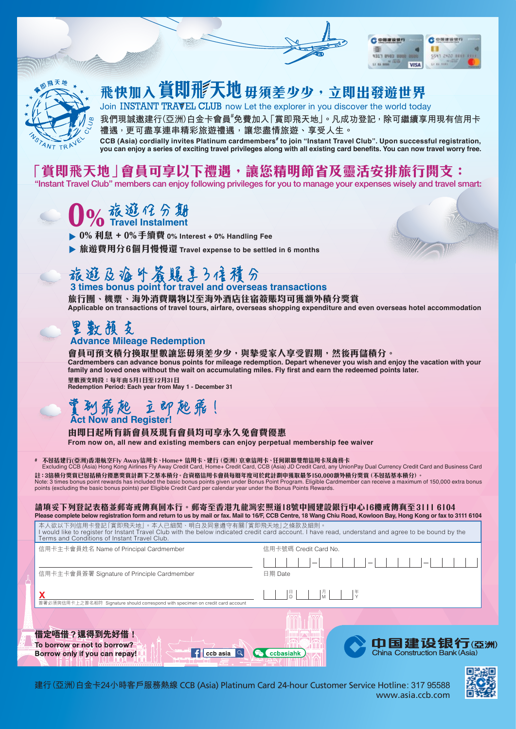

## **飛快加入賞即飛天地**毋須差少少,立即出發遊世界

Join INSTANT TRAVEL CLUB now Let the explorer in you discover the world today

我們現誠邀建行(亞洲)白金卡會員<sup>#</sup>免費加入「賞即飛天地」。凡成功登記<sup>,</sup>除可繼續享用現有信用卡 **禮遇,更可盡享連串精彩旅遊禮遇,讓您盡情旅遊、享受人生。**

**CCB (Asia) cordially invites Platinum cardmembers# to join "Instant Travel Club". Upon successful registration, you can enjoy a series of exciting travel privileges along with all existing card benefits. You can now travel worry free.**

### 「賞即飛天地 | 會員可享以下禮遇,讓您精明節省及靈活安排旅行開支 :

"Instant Travel Club" members can enjoy following privileges for you to manage your expenses wisely and travel smart:

#### **0% 旅遊化分集** 期 **t**

- **0% 利息 + 0%手續費 0% Interest + 0% Handling Fee**
- **旅遊費用分6個月慢慢還 Travel expense to be settled in 6 months**

### 旅遊及海外簽賬ま3倍積分

 **3 times bonus point for travel and overseas transactions 旅行團、機票、海外消費購物以至海外酒店住宿簽賬均可獲額外積分獎賞 Applicable on transactions of travel tours, airfare, overseas shopping expenditure and even overseas hotel accommodation**

# 里數預支

### **Advance Mileage Redemption**

**會員可預支積分換取里數讓您毋須差少少,與摯愛家人享受假期,然後再儲積分。 Cardmembers can advance bonus points for mileage redemption. Depart whenever you wish and enjoy the vacation with your family and loved ones without the wait on accumulating miles. Fly first and earn the redeemed points later.**

**里數預支時段:每年由 5月1日至12月31日 Redemption Period: Each year from May 1 - December 31**

#### 賞  **Act Now and Register!** 到飛起 立即起飛!

#### **由即日起所有新會員及現有會員均可享永久免會費優惠**

**From now on, all new and existing members can enjoy perpetual membership fee waiver**

# **不包括建行(亞洲)香港航空FIy Away信用卡 · Home+ 信用卡 ·建行 (亞洲) 京東信用卡 ·任何銀聯雙幣信用卡及商務卡<br> Excluding CCB (Asia) Hong Kong Airlines Fly Away Credit Card, Home+ Credit Card, CCB (Asia) JD Credit Card, any UnionPay Dual Currency Credit Card a 註:3倍積分獎賞已包括積分優惠獎賞計劃下之基本積分。合資格信用卡會員每曆年度可於此計劃中獲取最多150,000額外積分獎賞(不包括基本積分)。**

Note: 3 times bonus point rewards has included the basic bonus points given under Bonus Point Program. Eligible Cardmember can receive a maximum of 150,000 extra bonus<br>points (excluding the basic bonus points) per Eligible

#### **請填妥下列登記表格並郵寄或傳真回本行。郵寄至香港九龍灣宏照道18號中國建設銀行中心16樓或傳真至3111 6104 Please complete below registration form and return to us by mail or fax. Mail to 16/F, CCB Centre, 18 Wang Chiu Road, Kowloon Bay, Hong Kong or fax to 3111 6104**

本人欲以下列信用卡登記 l 賞即飛天地」。本人已細閲、明白及同意遵守有關 l 賞即飛天地」之條款及細則。<br>I would like to register for Instant Travel Club with the below indicated credit card account. I have read, understand and agree to be bound by the Terms and Conditions of Instant Travel Club.

信用卡主卡會員姓名 Name of Principal Cardmember **Example 2018** 信用卡號碼 Credit Card No. 信用卡主卡會員簽署 Signature of Principle Cardmember <br>
日期 Date 日<br>D 月 M 年 **X** <sup>Y</sup> 簽署必須與信用卡上之簽名相符 Signature should correspond with specimen on credit card account







COMMUNIS

 $\overline{u}$  is not

5541 2400 8888 8

**COMMISSION** 歪

**4311 8483 8888 B**  $\mathbf{u} \mathbf{u} \mathbf{m}^{\text{w-RB}}$ 

**VISA** 

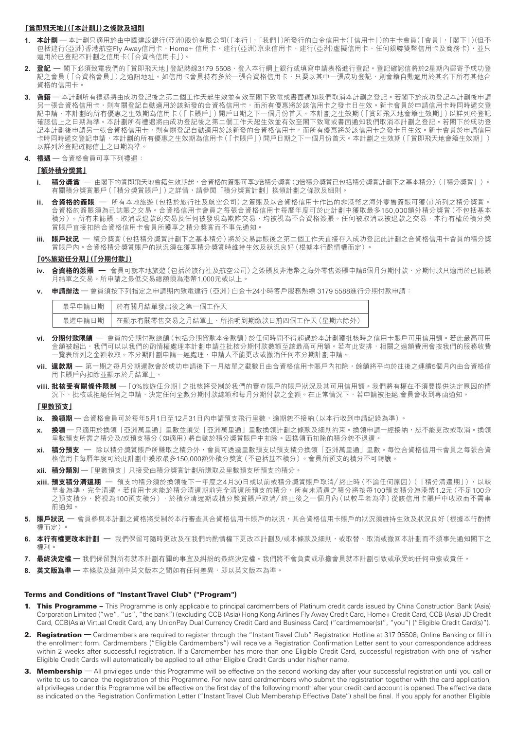#### **「賞即飛天地」(「本計劃」)之條款及細則**

- **1. 本計劃 –** 本計劃只適用於由中國建設銀行(亞洲)股份有限公司(「本行」,「我們」)所發行的白金信用卡(「信用卡」)的主卡會員(「會員」,「閣下」()但不 包括建行(亞洲)香港航空Fly Away信用卡、Home+ 信用卡、建行(亞洲)京東信用卡、建行(亞洲)虛擬信用卡、任何銀聯雙幣信用卡及商務卡),並只 適用於已登記本計劃之信用卡(「合資格信用卡」)。
- **2. 登記 –** 閣下必須致電我們的「賞即飛天地」登記熱線3179 5508、登入本行網上銀行或填寫申請表格進行登記。登記確認信將於2星期內郵寄予成功登 記之會員(「合資格會員」)之通訊地址。如信用卡會員持有多於一張合資格信用卡,只要以其中一張成功登記,則會籍自動適用於其名下所有其他合 資格的信用卡。
- **3. 會籍 –** 本計劃所有禮遇將由成功登記後之第二個工作天起生效並有效至閣下致電或書面通知我們取消本計劃之登記。若閣下於成功登記本計劃後申請 另一張合資格信用卡,則有關登記自動適用於該新發的合資格信用卡,而所有優惠將於該信用卡之發卡日生效。新卡會員於申請信用卡時同時遞交登 記申請,本計劃的所有優惠之生效期為信用卡(「卡賬戶」)開戶日期之下一個月份首天。本計劃之生效期(「賞即飛天地會籍生效期」)以詳列於登記 確認信上之日期為準。本計劃所有禮遇將由成功登記後之第二個工作天起生效並有效至閣下致電或書面通知我們取消本計劃之登記。若閣下於成功登 記本計劃後申請另一張合資格信用卡,則有關登記自動適用於該新發的合資格信用卡,而所有優惠將於該信用卡之發卡日生效。新卡會員於申請信用 卡時同時遞交登記申請,本計劃的所有優惠之生效期為信用卡(「卡賬戶」)開戶日期之下一個月份首天。本計劃之生效期(「賞即飛天地會籍生效期」) 以詳列於登記確認信上之日期為準。
- **4. 禮遇** 合資格會員可享下列禮遇:

#### **「額外積分獎賞」**

- **i. 積分獎賞 –** 由閣下的賞即飛天地會籍生效期起,合資格的簽賬可享3倍積分獎賞(3倍積分獎賞已包括積分獎賞計劃下之基本積分)(「積分獎賞」)。 有關積分獎賞賬戶(「積分獎賞賬戶」)之詳情,請參閱「積分獎賞計劃」換領計劃之條款及細則。
- **ii. 合資格的簽賬 –** 所有本地旅遊(包括於旅行社及航空公司)之簽賬及以合資格信用卡作出的非港幣之海外零售簽賬可獲(i)所列之積分獎賞。 合資格的簽賬須為已誌賬之交易。合資格信用卡會員之每張合資格信用卡每曆年度可於此計劃中獲取最多150,000額外積分獎賞(不包括基本 積分)。所有未誌賬、取消或退款的交易及任何被發現為欺詐交易,均被視為不合資格簽賬。任何被取消或被退款之交易,本行有權於積分獎 賞賬戶直接扣除合資格信用卡會員所獲享之積分獎賞而不事先通知。
- **iii. 賬戶狀況 –** 積分獎賞(包括積分獎賞計劃下之基本積分)將於交易誌賬後之第二個工作天直接存入成功登記此計劃之合資格信用卡會員的積分獎 賞賬戶內。合資格積分獎賞賬戶的狀況須在獲享積分獎賞時維持生效及狀況良好(根據本行酌情權而定)。

#### **「0%旅遊任分期」(「分期付款」)**

- **iv. 合資格的簽賬 –** 會員可就本地旅遊(包括於旅行社及航空公司)之簽賬及非港幣之海外零售簽賬申請6個月分期付款,分期付款只適用於已誌賬 月結單之交易。所申請之最低交易總額須為港幣1,000元或以上。
- **v. 申請辦法 –** 會員須按下列指定之申請期內致電建行(亞洲)白金卡24小時客戶服務熱線 3179 5588進行分期付款申請:

| 最早申請日期 」 | │ 於有關月結單發出後之第一個工作天                        |
|----------|-------------------------------------------|
| 最遲申請日期   | │ 在顯示有關零售交易之月結單上,所指明到期繳款日前四個工作天 ( 星期六除外 ) |

- **vi. 分期付款限額 –** 會員的分期付款總額(包括分期貸款本金款額)於任何時間不得超過於本計劃獲批核時之信用卡賬戶可用信用額。若此最高可用 金額被超出,我們可以以我們的酌情權處理本計劃申請並批核分期付款數額至該最高可用額。若有此安排,相關之過額費用會按我們的服務收費 一覽表所列之金額收取。本分期計劃申請一經處理,申請人不能更改或撤消任何本分期計劃申請。
- **vii. 還款期 –** 第一期之每月分期還款會於成功申請後下一月結單之截數日由合資格信用卡賬戶內扣除,餘額將平均於往後之連續5個月內由合資格信 用卡賬戶內扣除並顯示於月結單上。
- **viii. 批核受有關條件限制** –「0%旅遊任分期」之批核將受制於我們的審查賬戶的賬戶狀況及其可用信用額。我們將有權在不須要提供決定原因的情 況下,批核或拒絕任何之申請、決定任何全數分期付款總額和每月分期付款之金額。在正常情況下,若申請被拒絕會員會收到專函通知。

#### **「里數預支」**

- **ix. 換領期 –** 合資格會員可於每年5月1日至12月31日內申請預支飛行里數,逾期恕不接納(以本行收到申請紀錄為準)。
- **x. 換領 –** 只適用於換領「亞洲萬里通」里數並須受「亞洲萬里通」里數換領計劃之條款及細則約束。換領申請一經接納,恕不能更改或取消。換領 里數預支所需之積分及/或預支積分(如適用)將自動於積分獎賞賬戶中扣除。因換領而扣除的積分恕不退還。
- **xi. 積分預支 –** 除以積分獎賞賬戶所賺取之積分外,會員可透過里數預支以預支積分換領「亞洲萬里通」里數。每位合資格信用卡會員之每張合資 格信用卡每曆年度可於此計劃中獲取最多150,000額外積分獎賞(不包括基本積分)。會員所預支的積分不可轉讓。
- **xii. 積分類別 –**「里數預支」只接受由積分獎賞計劃所賺取及里數預支所預支的積分。
- **xiii. 預支積分清還期 –** 預支的積分須於換領後下一年度之4月30日或以前或積分獎賞賬戶取消/終止時(不論任何原因)(「積分清還期」),以較 早者為準,完全清還。若信用卡未能於積分清還期前完全清還所預支的積分,所有未清還之積分將按每100預支積分為港幣1.2元(不足100分 之預支積分,將視為100預支積分),於積分清還期或積分獎賞賬戶取消/終止後之一個月內(以較早者為準)從該信用卡賬戶中收取而不需事 前通知。
- **5. 賬戶狀況 –** 會員參與本計劃之資格將受制於本行審查其合資格信用卡賬戶的狀況,其合資格信用卡賬戶的狀況須維持生效及狀況良好(根據本行酌情 權而定)。
- **6. 本行有權更改本計劃 —** 我們保留可隨時更改及在我們的酌情權下更改本計劃及/或本條款及細則,或取替、取消或撤回本計劃而不須事先通知閣下之 權利。
- **7. 最終決定權 –** 我們保留對所有就本計劃有關的事宜及糾紛的最終決定權。我們將不會負責或承擔會員就本計劃引致或承受的任何申索或責任。
- 8. **英文版為準 —** 本條款及細則中英文版本之間如有任何差異,即以英文版本為準。

#### Terms and Conditions of "InstantTravel Club" ("Program")

- 1. This Programme This Programme is only applicable to principal cardmembers of Platinum credit cards issued by China Construction Bank (Asia) Corporation Limited ("we", "us", "the bank") (excluding CCB (Asia) Hong Kong Airlines Fly Away Credit Card, Home+ Credit Card, CCB (Asia) JD Credit Card, CCB(Asia) Virtual Credit Card, any UnionPay Dual Currency Credit Card and Business Card) ("cardmember(s)", "you") ("Eligible Credit Card(s)").
- 2. Registration Cardmembers are required to register through the "Instant Travel Club" Registration Hotline at 317 95508, Online Banking or fill in the enrollment form. Cardmembers ("Eligible Cardmembers") will receive a Registration Confirmation Letter sent to your correspondence address within 2 weeks after successful registration. If a Cardmember has more than one Eligible Credit Card, successful registration with one of his/her Eligible Credit Cards will automatically be applied to all other Eligible Credit Cards under his/her name.
- 3. Membership All privileges under this Programme will be effective on the second working day after your successful registration until you call or write to us to cancel the registration of this Programme. For new card cardmembers who submit the registration together with the card application, all privileges under this Programme will be effective on the first day of the following month after your credit card account is opened. The effective date as indicated on the Registration Confirmation Letter ("Instant Travel Club Membership Effective Date") shall be final. If you apply for another Eligible